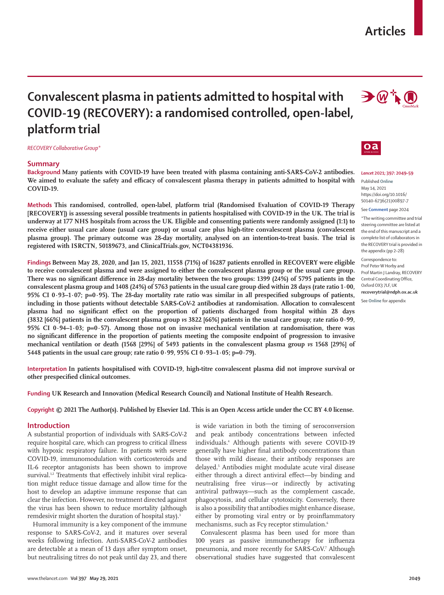# **Articles**

# **Convalescent plasma in patients admitted to hospital with COVID-19 (RECOVERY): a randomised controlled, open-label, platform trial**

*RECOVERY Collaborative Group\**

## **Summary**

**Background Many patients with COVID-19 have been treated with plasma containing anti-SARS-CoV-2 antibodies.**  We aimed to evaluate the safety and efficacy of convalescent plasma therapy in patients admitted to hospital with **COVID-19.**

**Methods This randomised, controlled, open-label, platform trial (Randomised Evaluation of COVID-19 Therapy [RECOVERY]) is assessing several possible treatments in patients hospitalised with COVID-19 in the UK. The trial is underway at 177 NHS hospitals from across the UK. Eligible and consenting patients were randomly assigned (1:1) to receive either usual care alone (usual care group) or usual care plus high-titre convalescent plasma (convalescent plasma group). The primary outcome was 28-day mortality, analysed on an intention-to-treat basis. The trial is registered with ISRCTN, 50189673, and ClinicalTrials.gov, NCT04381936.**

**Findings Between May 28, 2020, and Jan 15, 2021, 11558 (71%) of 16287 patients enrolled in RECOVERY were eligible**  to receive convalescent plasma and were assigned to either the convalescent plasma group or the usual care group. **There was no significant difference in 28-day mortality between the two groups: 1399 (24%) of 5795 patients in the convalescent plasma group and 1408 (24%) of 5763 patients in the usual care group died within 28 days (rate ratio 1·00, 95% CI 0·93–1·07; p=0·95). The 28-day mortality rate ratio was similar in all prespecified subgroups of patients, including in those patients without detectable SARS-CoV-2 antibodies at randomisation. Allocation to convalescent plasma had no significant effect on the proportion of patients discharged from hospital within 28 days (3832 [66%] patients in the convalescent plasma group** *vs* **3822 [66%] patients in the usual care group; rate ratio 0·99, 95% CI 0·94–1·03; p=0·57). Among those not on invasive mechanical ventilation at randomisation, there was no significant difference in the proportion of patients meeting the composite endpoint of progression to invasive mechanical ventilation or death (1568 [29%] of 5493 patients in the convalescent plasma group** *vs* **1568 [29%] of 5448 patients in the usual care group; rate ratio 0·99, 95% CI 0·93–1·05; p=0·79).**

**Interpretation In patients hospitalised with COVID-19, high-titre convalescent plasma did not improve survival or other prespecified clinical outcomes.**

**Funding UK Research and Innovation (Medical Research Council) and National Institute of Health Research.**

**Copyright © 2021 The Author(s). Published by Elsevier Ltd. This is an Open Access article under the CC BY 4.0 license.**

#### **Introduction**

A substantial proportion of individuals with SARS-CoV-2 require hospital care, which can progress to critical illness with hypoxic respiratory failure. In patients with severe COVID-19, immunomodulation with corticosteroids and IL-6 receptor antagonists has been shown to improve survival.<sup>1,2</sup> Treatments that effectively inhibit viral replication might reduce tissue damage and allow time for the host to develop an adaptive immune response that can clear the infection. However, no treatment directed against the virus has been shown to reduce mortality (although remdesivir might shorten the duration of hospital stay).<sup>3</sup>

Humoral immunity is a key component of the immune response to SARS-CoV-2, and it matures over several weeks following infection. Anti-SARS-CoV-2 antibodies are detectable at a mean of 13 days after symptom onset, but neutralising titres do not peak until day 23, and there is wide variation in both the timing of seroconversion and peak antibody concentrations between infected individuals.4 Although patients with severe COVID-19 generally have higher final antibody concentrations than those with mild disease, their antibody responses are delayed.5 Antibodies might modulate acute viral disease either through a direct antiviral effect—by binding and neutralising free virus—or indirectly by activating antiviral pathways—such as the complement cascade, phagocytosis, and cellular cytotoxicity. Conversely, there is also a possibility that antibodies might enhance disease, either by promoting viral entry or by proinflammatory mechanisms, such as Fcγ receptor stimulation.<sup>6</sup>

Convalescent plasma has been used for more than 100 years as passive immunotherapy for influenza pneumonia, and more recently for SARS-CoV.<sup>7</sup> Although observational studies have suggested that convalescent





*Lancet* **2021; 397: 2049–59**

Published **Online** May 14, 2021 https://doi.org/10.1016/ S0140-6736(21)00897-7

See **Comment** page 2024

\*The writing committee and trial steering committee are listed at the end of this manuscript and a complete list of collaborators in the RECOVERY trial is provided in the appendix (pp 2–28)

Correspondence to: Prof Peter W Horby and Prof Martin J Landray, RECOVERY Central Coordinating Office, Oxford OX3 7LF, UK **recoverytrial@ndph.ox.ac.uk**

See **Online** for appendix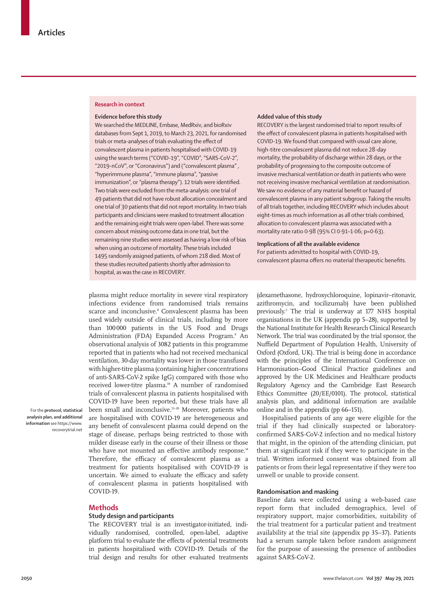#### **Research in context**

## **Evidence before this study**

We searched the MEDLINE, Embase, MedRxiv, and bioRxiv databases from Sept 1, 2019, to March 23, 2021, for randomised trials or meta-analyses of trials evaluating the effect of convalescent plasma in patients hospitalised with COVID-19 using the search terms ("COVID-19", "COVID", "SARS-CoV-2", "2019-nCoV", or "Coronavirus") and ("convalescent plasma" , "hyperimmune plasma", "immune plasma", "passive immunization", or "plasma therapy"). 12 trials were identified. Two trials were excluded from the meta-analysis: one trial of 49 patients that did not have robust allocation concealment and one trial of 30 patients that did not report mortality. In two trials participants and clinicians were masked to treatment allocation and the remaining eight trials were open-label. There was some concern about missing outcome data in one trial, but the remaining nine studies were assessed as having a low risk of bias when using an outcome of mortality. These trials included 1495 randomly assigned patients, of whom 218 died. Most of these studies recruited patients shortly after admission to hospital, as was the case in RECOVERY.

#### **Added value of this study**

RECOVERY is the largest randomised trial to report results of the effect of convalescent plasma in patients hospitalised with COVID-19. We found that compared with usual care alone, high-titre convalescent plasma did not reduce 28-day mortality, the probability of discharge within 28 days, or the probability of progressing to the composite outcome of invasive mechanical ventilation or death in patients who were not receiving invasive mechanical ventilation at randomisation. We saw no evidence of any material benefit or hazard of convalescent plasma in any patient subgroup. Taking the results of all trials together, including RECOVERY which includes about eight-times as much information as all other trials combined, allocation to convalescent plasma was associated with a mortality rate ratio 0·98 (95% CI 0·91–1·06; p=0·63).

## **Implications of all the available evidence**

For patients admitted to hospital with COVID-19, convalescent plasma offers no material therapeutic benefits.

plasma might reduce mortality in severe viral respiratory infections evidence from randomised trials remains scarce and inconclusive.8 Convalescent plasma has been used widely outside of clinical trials, including by more than 100000 patients in the US Food and Drugs Administration (FDA) Expanded Access Program.<sup>9</sup> An observational analysis of 3082 patients in this programme reported that in patients who had not received mechanical ventilation, 30-day mortality was lower in those transfused with higher-titre plasma (containing higher concentrations of anti-SARS-CoV-2 spike IgG) compared with those who received lower-titre plasma.<sup>10</sup> A number of randomised trials of convalescent plasma in patients hospitalised with COVID-19 have been reported, but these trials have all been small and inconclusive.<sup>11-20</sup> Moreover, patients who are hospitalised with COVID-19 are heterogeneous and any benefit of convalescent plasma could depend on the stage of disease, perhaps being restricted to those with milder disease early in the course of their illness or those who have not mounted an effective antibody response.<sup>14</sup> Therefore, the efficacy of convalescent plasma as a treatment for patients hospitalised with COVID-19 is uncertain. We aimed to evaluate the efficacy and safety of convalescent plasma in patients hospitalised with COVID-19.

## **Methods**

### **Study design and participants**

The RECOVERY trial is an investigator-initiated, individually randomised, controlled, open-label, adaptive platform trial to evaluate the effects of potential treatments in patients hospitalised with COVID-19. Details of the trial design and results for other evaluated treatments

(dexamethasone, hydroxychloroquine, lopinavir–ritonavir, azithromycin, and tocilizumab) have been published previously.2 The trial is underway at 177 NHS hospital organisations in the UK (appendix pp 5–28), supported by the National Institute for Health Research Clinical Research Network. The trial was coordinated by the trial sponsor, the Nuffield Department of Population Health, University of Oxford (Oxford, UK). The trial is being done in accordance with the principles of the International Conference on Harmonisation–Good Clinical Practice guidelines and approved by the UK Medicines and Healthcare products Regulatory Agency and the Cambridge East Research Ethics Committee (20/EE/0101). The protocol, statistical analysis plan, and additional information are available [online](http://www.recoverytrial.net) and in the appendix (pp 66–151).

Hospitalised patients of any age were eligible for the trial if they had clinically suspected or laboratoryconfirmed SARS-CoV-2 infection and no medical history that might, in the opinion of the attending clinician, put them at significant risk if they were to participate in the trial. Written informed consent was obtained from all patients or from their legal representative if they were too unwell or unable to provide consent.

## **Randomisation and masking**

Baseline data were collected using a web-based case report form that included demographics, level of respiratory support, major comorbidities, suitability of the trial treatment for a particular patient and treatment availability at the trial site (appendix pp 35–37). Patients had a serum sample taken before random assignment for the purpose of assessing the presence of antibodies against SARS-CoV-2.

For the **protocol, statistical analysis plan, and additional information** see https:/[/www.](http://www.recoverytrial.net)

[recoverytrial.net](http://www.recoverytrial.net)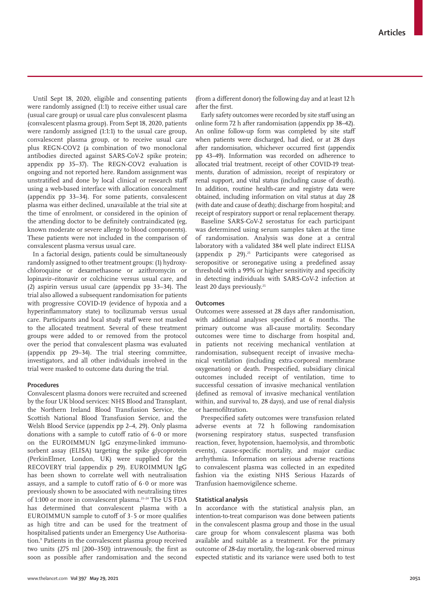Until Sept 18, 2020, eligible and consenting patients were randomly assigned (1:1) to receive either usual care (usual care group) or usual care plus convalescent plasma (convalescent plasma group). From Sept 18, 2020, patients were randomly assigned (1:1:1) to the usual care group, convalescent plasma group, or to receive usual care plus REGN-COV2 (a combination of two monoclonal antibodies directed against SARS-CoV-2 spike protein; appendix pp 35–37). The REGN-COV2 evaluation is ongoing and not reported here. Random assignment was unstratified and done by local clinical or research staff using a web-based interface with allocation concealment (appendix pp 33–34). For some patients, convalescent plasma was either declined, unavailable at the trial site at the time of enrolment, or considered in the opinion of the attending doctor to be definitely contraindicated (eg, known moderate or severe allergy to blood components). These patients were not included in the comparison of convalescent plasma versus usual care.

In a factorial design, patients could be simultaneously randomly assigned to other treatment groups: (1) hydroxychloroquine or dexamethasone or azithromycin or lopinavir–ritonavir or colchicine versus usual care, and (2) aspirin versus usual care (appendix pp 33–34). The trial also allowed a subsequent randomisation for patients with progressive COVID-19 (evidence of hypoxia and a hyperinflammatory state) to tocilizumab versus usual care. Participants and local study staff were not masked to the allocated treatment. Several of these treatment groups were added to or removed from the protocol over the period that convalescent plasma was evaluated (appendix pp 29–34). The trial steering committee, investigators, and all other individuals involved in the trial were masked to outcome data during the trial.

# **Procedures**

Convalescent plasma donors were recruited and screened by the four UK blood services: NHS Blood and Transplant, the Northern Ireland Blood Transfusion Service, the Scottish National Blood Transfusion Service, and the Welsh Blood Service (appendix pp 2–4, 29). Only plasma donations with a sample to cutoff ratio of 6·0 or more on the EUROIMMUN IgG enzyme-linked immunosorbent assay (ELISA) targeting the spike glycoprotein (PerkinElmer, London, UK) were supplied for the RECOVERY trial (appendix p 29). EUROIMMUN IgG has been shown to correlate well with neutralisation assays, and a sample to cutoff ratio of  $6.0$  or more was previously shown to be associated with neutralising titres of 1:100 or more in convalescent plasma.<sup>21-24</sup> The US FDA has determined that convalescent plasma with a EUROIMMUN sample to cutoff of 3·5 or more qualifies as high titre and can be used for the treatment of hospitalised patients under an Emergency Use Authorisation.<sup>9</sup> Patients in the convalescent plasma group received two units (275 ml [200–350]) intravenously, the first as soon as possible after randomisation and the second

(from a different donor) the following day and at least 12 h after the first.

Early safety outcomes were recorded by site staff using an online form 72 h after randomisation (appendix pp 38–42). An online follow-up form was completed by site staff when patients were discharged, had died, or at 28 days after randomisation, whichever occurred first (appendix pp 43–49). Information was recorded on adherence to allocated trial treatment, receipt of other COVID-19 treatments, duration of admission, receipt of respiratory or renal support, and vital status (including cause of death). In addition, routine health-care and registry data were obtained, including information on vital status at day 28 (with date and cause of death); discharge from hospital; and receipt of respiratory support or renal replacement therapy.

Baseline SARS-CoV-2 serostatus for each participant was determined using serum samples taken at the time of randomisation. Analysis was done at a central laboratory with a validated 384 well plate indirect ELISA (appendix  $p$  29).<sup>25</sup> Participants were categorised as seropositive or seronegative using a predefined assay threshold with a 99% or higher sensitivity and specificity in detecting individuals with SARS-CoV-2 infection at least 20 days previously.<sup>25</sup>

## **Outcomes**

Outcomes were assessed at 28 days after randomisation, with additional analyses specified at 6 months. The primary outcome was all-cause mortality. Secondary outcomes were time to discharge from hospital and, in patients not receiving mechanical ventilation at randomisation, subsequent receipt of invasive mechanical ventilation (including extra-corporeal membrane oxygenation) or death. Prespecified, subsidiary clinical outcomes included receipt of ventilation, time to successful cessation of invasive mechanical ventilation (defined as removal of invasive mechanical ventilation within, and survival to, 28 days), and use of renal dialysis or haemofiltration.

Prespecified safety outcomes were transfusion related adverse events at 72 h following randomisation (worsening respiratory status, suspected transfusion reaction, fever, hypotension, haemolysis, and thrombotic events), cause-specific mortality, and major cardiac arrhythmia. Information on serious adverse reactions to convalescent plasma was collected in an expedited fashion via the existing NHS Serious Hazards of Tranfusion haemovigilence scheme.

#### **Statistical analysis**

In accordance with the statistical analysis plan, an intention-to-treat comparison was done between patients in the convalescent plasma group and those in the usual care group for whom convalescent plasma was both available and suitable as a treatment. For the primary outcome of 28-day mortality, the log-rank observed minus expected statistic and its variance were used both to test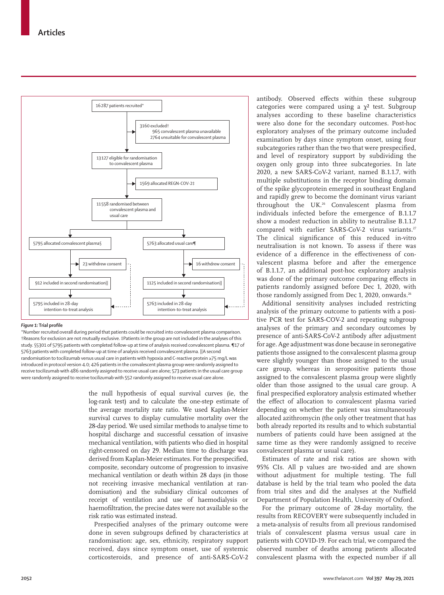

#### *Figure 1:* **Trial profile**

\*Number recruited overall during period that patients could be recruited into convalescent plasma comparison. †Reasons for exclusion are not mutually exclusive. ‡Patients in the group are not included in the analyses of this study. §5301 of 5795 patients with completed follow-up at time of analysis received convalescent plasma. ¶17 of 5763 patients with completed follow-up at time of analysis received convalescent plasma. ||A second randomisation to tocilizumab versus usual care in patients with hypoxia and C-reactive protein ≥75 mg/L was introduced in protocol version 4.0; 426 patients in the convalescent plasma group were randomly assigned to receive tocilizumab with 486 randomly assigned to receive usual care alone; 573 patients in the usual care group were randomly assigned to receive tocilizumab with 552 randomly assigned to receive usual care alone.

> the null hypothesis of equal survival curves (ie, the log-rank test) and to calculate the one-step estimate of the average mortality rate ratio. We used Kaplan-Meier survival curves to display cumulative mortality over the 28-day period. We used similar methods to analyse time to hospital discharge and successful cessation of invasive mechanical ventilation, with patients who died in hospital right-censored on day 29. Median time to discharge was derived from Kaplan-Meier estimates. For the prespecified, composite, secondary outcome of progression to invasive mechanical ventilation or death within 28 days (in those not receiving invasive mechanical ventilation at randomisation) and the subsidiary clinical outcomes of receipt of ventilation and use of haemodialysis or haemofiltration, the precise dates were not available so the risk ratio was estimated instead.

> Prespecified analyses of the primary outcome were done in seven subgroups defined by characteristics at randomisation: age, sex, ethnicity, respiratory support received, days since symptom onset, use of systemic corticosteroids, and presence of anti-SARS-CoV-2

antibody. Observed effects within these subgroup categories were compared using a  $\chi^2$  test. Subgroup analyses according to these baseline characteristics were also done for the secondary outcomes. Post-hoc exploratory analyses of the primary outcome included examination by days since symptom onset, using four subcategories rather than the two that were prespecified, and level of respiratory support by subdividing the oxygen only group into three subcategories. In late 2020, a new SARS-CoV-2 variant, named B.1.1.7, with multiple substitutions in the receptor binding domain of the spike glycoprotein emerged in southeast England and rapidly grew to become the dominant virus variant throughout the UK.26 Convalescent plasma from individuals infected before the emergence of B.1.1.7 show a modest reduction in ability to neutralise B.1.1.7 compared with earlier SARS-CoV-2 virus variants.<sup>27</sup> The clinical significance of this reduced in-vitro neutralisation is not known. To assess if there was evidence of a difference in the effectiveness of convalescent plasma before and after the emergence of B.1.1.7, an additional post-hoc exploratory analysis was done of the primary outcome comparing effects in patients randomly assigned before Dec 1, 2020, with those randomly assigned from Dec 1, 2020, onwards.<sup>26</sup>

Additional sensitivity analyses included restricting analysis of the primary outcome to patients with a positive PCR test for SARS-COV-2 and repeating subgroup analyses of the primary and secondary outcomes by presence of anti-SARS-CoV-2 antibody after adjustment for age. Age adjustment was done because in seronegative patients those assigned to the convalescent plasma group were slightly younger than those assigned to the usual care group, whereas in seropositive patients those assigned to the convalescent plasma group were slightly older than those assigned to the usual care group. A final prespecified exploratory analysis estimated whether the effect of allocation to convalescent plasma varied depending on whether the patient was simultaneously allocated azithromycin (the only other treatment that has both already reported its results and to which substantial numbers of patients could have been assigned at the same time as they were randomly assigned to receive convalescent plasma or usual care).

Estimates of rate and risk ratios are shown with 95% CIs. All p values are two-sided and are shown without adjustment for multiple testing. The full database is held by the trial team who pooled the data from trial sites and did the analyses at the Nuffield Department of Population Health, University of Oxford.

For the primary outcome of 28-day mortality, the results from RECOVERY were subsequently included in a meta-analysis of results from all previous randomised trials of convalescent plasma versus usual care in patients with COVID-19. For each trial, we compared the observed number of deaths among patients allocated convalescent plasma with the expected number if all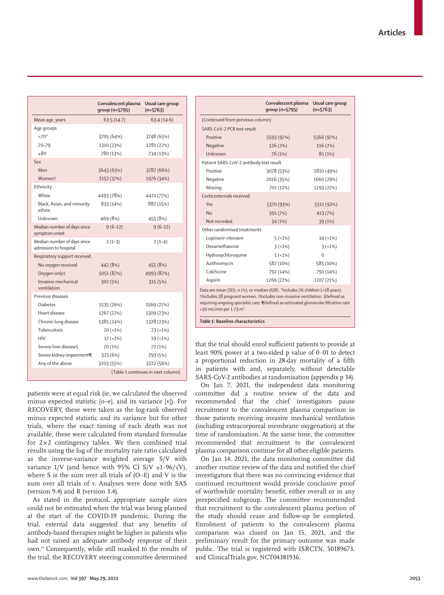|                                                      | Convalescent plasma<br>group (n=5795) | Usual care group<br>$(n=5763)$ |  |
|------------------------------------------------------|---------------------------------------|--------------------------------|--|
| Mean age, years                                      | 63.5(14.7)                            | 63.4(14.6)                     |  |
| Age groups                                           |                                       |                                |  |
| $<70*$                                               | 3705 (64%)                            | 3748 (65%)                     |  |
| 70-79                                                | 1310 (23%)                            | 1281 (22%)                     |  |
| >80                                                  | 780 (13%)                             | 734 (13%)                      |  |
| Sex                                                  |                                       |                                |  |
| Men                                                  | 3643 (63%)                            | 3787 (66%)                     |  |
| Women <sup>+</sup>                                   | 2152 (37%)                            | 1976 (34%)                     |  |
| Ethnicity                                            |                                       |                                |  |
| White                                                | 4493 (78%)                            | 4421 (77%)                     |  |
| Black, Asian, and minority<br>ethnic                 | 833 (14%)                             | 887 (15%)                      |  |
| Unknown                                              | 469 (8%)                              | 455 (8%)                       |  |
| Median number of days since<br>symptom onset         | $9(6-12)$                             | $9(6-12)$                      |  |
| Median number of days since<br>admission to hospital | $2(1-3)$                              | $2(1-4)$                       |  |
| Respiratory support received                         |                                       |                                |  |
| No oxygen received                                   | 442 (8%)                              | 455 (8%)                       |  |
| Oxygen only‡                                         | 5051 (87%)                            | 4993 (87%)                     |  |
| Invasive mechanical<br>ventilation                   | 302 (5%)                              | 315 (5%)                       |  |
| Previous diseases                                    |                                       |                                |  |
| <b>Diabetes</b>                                      | 1535 (26%)                            | 1569 (27%)                     |  |
| Heart disease                                        | 1267 (22%)                            | 1309 (23%)                     |  |
| Chronic lung disease                                 | 1385 (24%)                            | 1328 (23%)                     |  |
| Tuberculosis                                         | $20 (=1%)$                            | $23 (-1%)$                     |  |
| <b>HIV</b>                                           | $17 (-1%)$                            | 19(1%)                         |  |
| Severe liver disease                                 | 70 (1%)                               | 72 (1%)                        |  |
| Severe kidney impairment¶                            | 323 (6%)                              | 293 (5%)                       |  |
| Any of the above                                     | 3203 (55%)                            | 3222 (56%)                     |  |
|                                                      | (Table 1 continues in next column)    |                                |  |

patients were at equal risk (ie, we calculated the observed minus expected statistic [o–e], and its variance [v]). For RECOVERY, these were taken as the log-rank observed minus expected statistic and its variance but for other trials, where the exact timing of each death was not available, these were calculated from standard formulae for  $2 \times 2$  contingency tables. We then combined trial results using the log of the mortality rate ratio calculated as the inverse-variance weighted average S/V with variance 1/V (and hence with 95% CI S/V ±1.96/ $\sqrt{V}$ ), where S is the sum over all trials of (O–E) and V is the sum over all trials of v. Analyses were done with SAS (version 9.4) and R (version 3.4).

As stated in the protocol, appropriate sample sizes could not be estimated when the trial was being planned at the start of the COVID-19 pandemic. During the trial, external data suggested that any benefits of antibody-based therapies might be higher in patients who had not raised an adequate antibody response of their own.14 Consequently, while still masked to the results of the trial, the RECOVERY steering committee determined

|                                                                                                                                                                                                                                                                                                      | Convalescent plasma<br>qroup (n=5795) | Usual care group<br>$(n=5763)$ |  |  |
|------------------------------------------------------------------------------------------------------------------------------------------------------------------------------------------------------------------------------------------------------------------------------------------------------|---------------------------------------|--------------------------------|--|--|
| (Continued from previous column)                                                                                                                                                                                                                                                                     |                                       |                                |  |  |
| SARS-CoV-2 PCR test result                                                                                                                                                                                                                                                                           |                                       |                                |  |  |
| Positive                                                                                                                                                                                                                                                                                             | 5593 (97%)                            | 5566 (97%)                     |  |  |
| Negative                                                                                                                                                                                                                                                                                             | 126 (2%)                              | 116 (2%)                       |  |  |
| Unknown                                                                                                                                                                                                                                                                                              | 76 (1%)                               | 81(1%)                         |  |  |
| Patient SARS-CoV-2 antibody test result                                                                                                                                                                                                                                                              |                                       |                                |  |  |
| Positive                                                                                                                                                                                                                                                                                             | 3078 (53%)                            | 2810 (49%)                     |  |  |
| Negative                                                                                                                                                                                                                                                                                             | 2016 (35%)                            | 1660 (29%)                     |  |  |
| Missing                                                                                                                                                                                                                                                                                              | 701 (12%)                             | 1293 (22%)                     |  |  |
| Corticosteroids received                                                                                                                                                                                                                                                                             |                                       |                                |  |  |
| Yes                                                                                                                                                                                                                                                                                                  | 5370 (93%)                            | 5311 (92%)                     |  |  |
| <b>No</b>                                                                                                                                                                                                                                                                                            | 391 (7%)                              | 413 (7%)                       |  |  |
| Not recorded                                                                                                                                                                                                                                                                                         | 34 (1%)                               | 39 (1%)                        |  |  |
| Other randomised treatments                                                                                                                                                                                                                                                                          |                                       |                                |  |  |
| Lopinavir-ritonavir                                                                                                                                                                                                                                                                                  | 5(1%)                                 | $14 (-1%)$                     |  |  |
| Dexamethasone                                                                                                                                                                                                                                                                                        | $3(-1%)$                              | $3(-1%)$                       |  |  |
| Hydroxychloroquine                                                                                                                                                                                                                                                                                   | $1(-1%)$                              | $\Omega$                       |  |  |
| Azithromycin                                                                                                                                                                                                                                                                                         | 587 (10%)                             | 585 (10%)                      |  |  |
| Colchicine                                                                                                                                                                                                                                                                                           | 792 (14%)                             | 791 (14%)                      |  |  |
| Aspirin                                                                                                                                                                                                                                                                                              | 1266 (22%)                            | 1207 (21%)                     |  |  |
| Data are mean (SD), n (%), or median (IQR). *Includes 26 children (<18 years).<br>†Includes 28 pregnant women. ‡Includes non-invasive ventilation. §Defined as<br>requiring ongoing specialist care. <i>[Defined as estimated glomerular filtration rate</i><br><30 mL/min per 1.73 m <sup>2</sup> . |                                       |                                |  |  |

that the trial should enrol sufficient patients to provide at least 90% power at a two-sided p value of 0·01 to detect a proportional reduction in 28-day mortality of a fifth in patients with and, separately, without detectable SARS-CoV-2 antibodies at randomisation (appendix p 34).

On Jan 7, 2021, the independent data monitoring committee did a routine review of the data and recommended that the chief investigators pause recruitment to the convalescent plasma comparison in those patients receiving invasive mechanical ventilation (including extracorporeal membrane oxygenation) at the time of randomisation. At the same time, the committee recommended that recruitment to the convalescent plasma comparison continue for all other eligible patients.

On Jan 14, 2021, the data monitoring committee did another routine review of the data and notified the chief investigators that there was no convincing evidence that continued recruitment would provide conclusive proof of worthwhile mortality benefit, either overall or in any prespecified subgroup. The committee recommended that recruitment to the convalescent plasma portion of the study should cease and follow-up be completed. Enrolment of patients to the convalescent plasma comparison was closed on Jan 15, 2021, and the preliminary result for the primary outcome was made public. The trial is registered with ISRCTN, 50189673, and ClinicalTrials.gov, NCT04381936.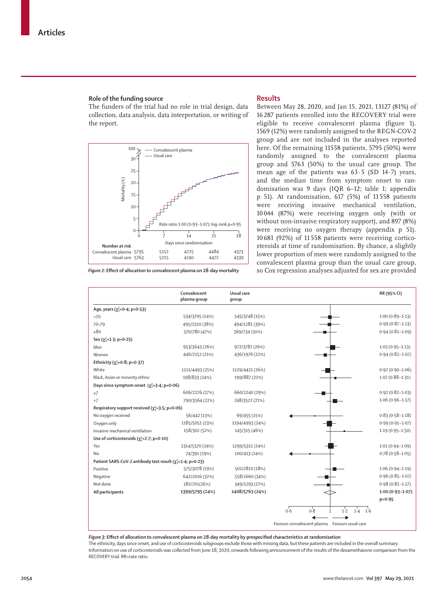#### **Role of the funding source**

The funders of the trial had no role in trial design, data collection, data analysis, data interpretation, or writing of the report.



#### **Results**

Between May 28, 2020, and Jan 15, 2021, 13127 (81%) of 16 287 patients enrolled into the RECOVERY trial were eligible to receive convalescent plasma (figure 1). 1569 (12%) were randomly assigned to the REGN-COV-2 group and are not included in the analyses reported here. Of the remaining 11558 patients, 5795 (50%) were randomly assigned to the convalescent plasma group and 5763 (50%) to the usual care group. The mean age of the patients was  $63.5$  (SD  $14.7$ ) years, and the median time from symptom onset to randomisation was 9 days (IQR 6–12; table 1; appendix p 51). At randomisation, 617 (5%) of 11 558 patients were receiving invasive mechanical ventilation, 10 044 (87%) were receiving oxygen only (with or without non-invasive respiratory support), and 897 (8%) were receiving no oxygen therapy (appendix p 51). 10 681 (92%) of 11 558 patients were receiving corticosteroids at time of randomisation. By chance, a slightly lower proportion of men were randomly assigned to the convalescent plasma group than the usual care group, *Figure 2:* **Effect of allocation to convalescent plasma on 28-day mortality** so Cox regression analyses adjusted for sex are provided

|                                                               | Convalescent<br>plasma group | Usual care<br>qroup |                                                  | RR (95% CI)         |
|---------------------------------------------------------------|------------------------------|---------------------|--------------------------------------------------|---------------------|
| Age, years $(\chi_1^2 = 0.4; p = 0.53)$                       |                              |                     |                                                  |                     |
| <70                                                           | 534/3705 (14%)               | 545/3748 (15%)      |                                                  | $1.00(0.89 - 1.13)$ |
| 70-79                                                         | 495/1310 (38%)               | 494/1281 (39%)      |                                                  | $0.99(0.87 - 1.13)$ |
| $\geq 80$                                                     | 370/780 (47%)                | 369/734 (50%)       |                                                  | $0.94(0.81 - 1.09)$ |
| Sex $(\chi^2_1=1.3; p=0.25)$                                  |                              |                     |                                                  |                     |
| Men                                                           | 953/3643 (26%)               | 972/3787 (26%)      |                                                  | $1.03(0.95 - 1.13)$ |
| Women                                                         | 446/2152 (21%)               | 436/1976 (22%)      |                                                  | $0.94(0.82 - 1.07)$ |
| Ethnicity ( $\chi^2$ =0.8; p=0.37)                            |                              |                     |                                                  |                     |
| White                                                         | 1111/4493 (25%)              | 1129/4421 (26%)     |                                                  | $0.97(0.90 - 1.06)$ |
| Black, Asian or minority ethnic                               | 198/833 (24%)                | 199/887 (22%)       |                                                  | $1.07(0.88 - 1.31)$ |
| Days since symptom onset $(\chi_1^2=3.4; p=0.06)$             |                              |                     |                                                  |                     |
| $\leq$ 7                                                      | 606/2226 (27%)               | 660/2240 (29%)      |                                                  | $0.92(0.82 - 1.03)$ |
| >7                                                            | 790/3564 (22%)               | 748/3522 (21%)      |                                                  | $1.06(0.96 - 1.17)$ |
| Respiratory support received ( $\chi^2$ =3.5; p=0.06)         |                              |                     |                                                  |                     |
| No oxygen received                                            | 56/442 (13%)                 | 69/455 (15%)        |                                                  | $0.83(0.58 - 1.18)$ |
| Oxygen only                                                   | 1185/5051 (23%)              | 1194/4993 (24%)     |                                                  | $0.99(0.91 - 1.07)$ |
| Invasive mechanical ventilation                               | 158/302 (52%)                | 145/315 (46%)       |                                                  | $1.19(0.95 - 1.50)$ |
| Use of corticosteroids ( $\chi^2$ =2.7; p=0.10)               |                              |                     |                                                  |                     |
| Yes                                                           | 1314/5370 (24%)              | 1299/5311 (24%)     |                                                  | $1.01(0.94 - 1.09)$ |
| No                                                            | 74/391 (19%)                 | 100/413 (24%)       |                                                  | $0.78(0.58 - 1.05)$ |
| Patient SARS-CoV-2 antibody test result $(y_1^2=1.4; p=0.23)$ |                              |                     |                                                  |                     |
| Positive                                                      | 575/3078 (19%)               | 501/2810 (18%)      |                                                  | $1.06(0.94 - 1.19)$ |
| Negative                                                      | 642/2016 (32%)               | 558/1660 (34%)      |                                                  | $0.96(0.85 - 1.07)$ |
| Not done                                                      | 182/701(26%)                 | 349/1293 (27%)      |                                                  | $0.98(0.82 - 1.17)$ |
| All participants                                              | 1399/5795 (24%)              | 1408/5763 (24%)     |                                                  | $1.00(0.93 - 1.07)$ |
|                                                               |                              |                     |                                                  | $p = 0.95$          |
|                                                               |                              |                     | 0.8<br>0.6<br>$1.4$ 1.6<br>$1-2$<br>$\mathbf{1}$ |                     |
|                                                               |                              |                     | Favours convalescent plasma   Favours usual care |                     |

*Figure 3:* **Effect of allocation to convalescent plasma on 28-day mortality by prespecified characteristics at randomisation** The ethnicity, days since onset, and use of corticosteroids subgroups exclude those with missing data, but these patients are included in the overall summary. Information on use of corticosteroids was collected from June 18, 2020, onwards following announcement of the results of the dexamethasone comparison from the RECOVERY trial. RR=rate ratio.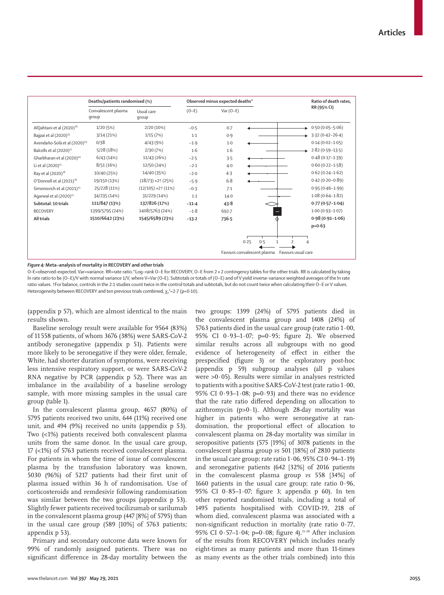

*Figure 4:* **Meta−analysis of mortality in RECOVERY and other trials**

O–E=observed–expected. Var=variance. RR=rate ratio.\*Log−rank O−E for RECOVERY, O−E from 2× 2 contingency tables for the other trials. RR is calculated by taking ln rate ratio to be (O−E)/V with normal variance 1/V, where V=Var (O–E). Subtotals or totals of (O−E) and of V yield inverse-variance weighted averages of the ln rate ratio values. †For balance, controls in the 2:1 studies count twice in the control totals and subtotals, but do not count twice when calculating their O−E or V values. Heterogeneity between RECOVERY and ten previous trials combined,  $\chi_1^2$ =2·7 (p=0·10).

(appendix p 57), which are almost identical to the main results shown.

Baseline serology result were available for 9564 (83%) of 11 558 patients, of whom 3676 (38%) were SARS-CoV-2 antibody seronegative (appendix p 51). Patients were more likely to be seronegative if they were older, female, White, had shorter duration of symptoms, were receiving less intensive respiratory support, or were SARS-CoV-2 RNA negative by PCR (appendix p 52). There was an imbalance in the availability of a baseline serology sample, with more missing samples in the usual care group (table 1).

In the convalescent plasma group, 4657 (80%) of 5795 patients received two units, 644 (11%) received one unit, and 494 (9%) received no units (appendix p 53). Two (<1%) patients received both convalescent plasma units from the same donor. In the usual care group, 17 (<1%) of 5763 patients received convalescent plasma. For patients in whom the time of issue of convalescent plasma by the transfusion laboratory was known, 5030 (96%) of 5217 patients had their first unit of plasma issued within 36 h of randomisation. Use of corticosteroids and remdesivir following randomisation was similar between the two groups (appendix p 53). Slightly fewer patients received tocilizumab or sarilumab in the convalescent plasma group (447 [8%] of 5795) than in the usual care group (589 [10%] of 5763 patients; appendix p 53).

Primary and secondary outcome data were known for 99% of randomly assigned patients. There was no significant difference in 28-day mortality between the two groups: 1399 (24%) of 5795 patients died in the convalescent plasma group and 1408 (24%) of 5763 patients died in the usual care group (rate ratio 1·00, 95% CI 0·93–1·07; p=0·95; figure 2). We observed similar results across all subgroups with no good evidence of heterogeneity of effect in either the prespecified (figure 3) or the exploratory post-hoc (appendix p 59) subgroup analyses (all p values were >0·05). Results were similar in analyses restricted to patients with a positive SARS-CoV-2 test (rate ratio 1·00, 95% CI 0 $\cdot$ 93-1 $\cdot$ 08; p=0 $\cdot$ 93) and there was no evidence that the rate ratio differed depending on allocation to azithromycin ( $p>0.1$ ). Although 28-day mortality was higher in patients who were seronegative at randomisation, the proportional effect of allocation to convalescent plasma on 28-day mortality was similar in seropositive patients (575 [19%] of 3078 patients in the convalescent plasma group *vs* 501 [18%] of 2810 patients in the usual care group; rate ratio  $1.06$ ,  $95\%$  CI  $0.94-1.19$ ) and seronegative patients (642 [32%] of 2016 patients in the convalescent plasma group *vs* 558 [34%] of 1660 patients in the usual care group; rate ratio  $0.96$ , 95% CI 0·85–1·07; figure 3; appendix p 60). In ten other reported randomised trials, including a total of 1495 patients hospitalised with COVID-19, 218 of whom died, convalescent plasma was associated with a non-significant reduction in mortality (rate ratio 0·77, 95% CI 0·57-1·04; p=0·08; figure 4).<sup>11-20</sup> After inclusion of the results from RECOVERY (which includes nearly eight-times as many patients and more than 11-times as many events as the other trials combined) into this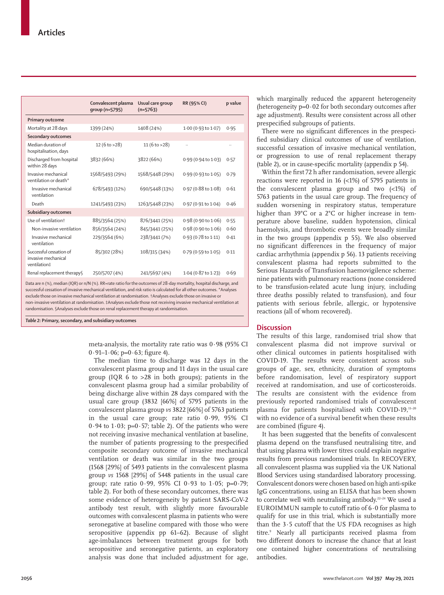|                                                                                                                      | Convalescent plasma<br>qroup (n=5795) | Usual care group<br>$(n=5763)$ | RR (95% CI)         | p value   |  |  |  |
|----------------------------------------------------------------------------------------------------------------------|---------------------------------------|--------------------------------|---------------------|-----------|--|--|--|
| <b>Primary outcome</b>                                                                                               |                                       |                                |                     |           |  |  |  |
| Mortality at 28 days                                                                                                 | 1399 (24%)                            | 1408 (24%)                     | 1.00 (0.93 to 1.07) | 0.95      |  |  |  |
| <b>Secondary outcomes</b>                                                                                            |                                       |                                |                     |           |  |  |  |
| Median duration of<br>hospitalisation, days                                                                          | 12 $(6 to > 28)$                      | 11(6 to > 28)                  |                     | $\ddotsc$ |  |  |  |
| Discharged from hospital<br>within 28 days                                                                           | 3832 (66%)                            | 3822 (66%)                     | 0.99 (0.94 to 1.03) | 0.57      |  |  |  |
| Invasive mechanical<br>ventilation or death*                                                                         | 1568/5493 (29%)                       | 1568/5448 (29%)                | 0.99 (0.93 to 1.05) | 0.79      |  |  |  |
| Invasive mechanical<br>ventilation                                                                                   | 678/5493 (12%)                        | 690/5448 (13%)                 | 0.97 (0.88 to 1.08) | 0.61      |  |  |  |
| Death                                                                                                                | 1241/5493 (23%)                       | 1263/5448 (23%)                | 0.97 (0.91 to 1.04) | 0.46      |  |  |  |
| Subsidiary outcomes                                                                                                  |                                       |                                |                     |           |  |  |  |
| Use of ventilation <sup>+</sup>                                                                                      | 885/3564 (25%)                        | 876/3441 (25%)                 | 0.98 (0.90 to 1.06) | 0.55      |  |  |  |
| Non-invasive ventilation                                                                                             | 856/3564 (24%)                        | 845/3441 (25%)                 | 0.98 (0.90 to 1.06) | 0.60      |  |  |  |
| Invasive mechanical<br>ventilation                                                                                   | 229/3564 (6%)                         | 238/3441 (7%)                  | 0.93 (0.78 to 1.11) | 0.41      |  |  |  |
| Successful cessation of<br>invasive mechanical<br>ventilation‡                                                       | 85/302 (28%)                          | 108/315 (34%)                  | 0.79 (0.59 to 1.05) | 0.11      |  |  |  |
| Renal replacement therapy§                                                                                           | 250/5707 (4%)                         | 241/5697 (4%)                  | 1.04 (0.87 to 1.23) | 0.69      |  |  |  |
| Data are n (%), median (IQR) or n/N (%). RR=rate ratio for the outcomes of 28-day mortality, hospital discharge, and |                                       |                                |                     |           |  |  |  |

successful cessation of invasive mechanical ventilation, and risk ratio is calculated for all other outcomes. \*Analyses exclude those on invasive mechanical ventilation at randomisation. †Analyses exclude those on invasive or non-invasive ventilation at randomisation. ‡Analyses exclude those not receiving invasive mechanical ventilation at randomisation. §Analyses exclude those on renal replacement therapy at randomisation.

*Table 2:* **Primary, secondary, and subsidiary outcomes**

meta-analysis, the mortality rate ratio was 0·98 (95% CI  $0.91-1.06$ ; p= $0.63$ ; figure 4).

The median time to discharge was 12 days in the convalescent plasma group and 11 days in the usual care group (IQR 6 to >28 in both groups); patients in the convalescent plasma group had a similar probability of being discharge alive within 28 days compared with the usual care group (3832 [66%] of 5795 patients in the convalescent plasma group *vs* 3822 [66%] of 5763 patients in the usual care group; rate ratio 0·99, 95% CI 0.94 to 1.03;  $p=0.57$ ; table 2). Of the patients who were not receiving invasive mechanical ventilation at baseline, the number of patients progressing to the prespecified composite secondary outcome of invasive mechanical ventilation or death was similar in the two groups (1568 [29%] of 5493 patients in the convalescent plasma group *vs* 1568 [29%] of 5448 patients in the usual care group; rate ratio 0.99, 95% CI 0.93 to 1.05; p=0.79; table 2). For both of these secondary outcomes, there was some evidence of heterogeneity by patient SARS-CoV-2 antibody test result, with slightly more favourable outcomes with convalescent plasma in patients who were seronegative at baseline compared with those who were seropositive (appendix pp 61–62). Because of slight age-imbalances between treatment groups for both seropositive and seronegative patients, an exploratory analysis was done that included adjustment for age, which marginally reduced the apparent heterogeneity (heterogeneity  $p=0.02$  for both secondary outcomes after age adjustment). Results were consistent across all other prespecified subgroups of patients.

There were no significant differences in the prespecified subsidiary clinical outcomes of use of ventilation, successful cessation of invasive mechanical ventilation, or progression to use of renal replacement therapy (table 2), or in cause-specific mortality (appendix p 54).

Within the first 72 h after randomisation, severe allergic reactions were reported in 16 (<1%) of 5795 patients in the convalescent plasma group and two (<1%) of 5763 patients in the usual care group. The frequency of sudden worsening in respiratory status, temperature higher than 39°C or a 2°C or higher increase in temperature above baseline, sudden hypotension, clinical haemolysis, and thrombotic events were broadly similar in the two groups (appendix p 55). We also observed no significant differences in the frequency of major cardiac arrhythmia (appendix p 56). 13 patients receiving convalescent plasma had reports submitted to the Serious Hazards of Transfusion haemovigilence scheme: nine patients with pulmonary reactions (none considered to be transfusion-related acute lung injury, including three deaths possibly related to transfusion), and four patients with serious febrile, allergic, or hypotensive reactions (all of whom recovered).

# **Discussion**

The results of this large, randomised trial show that convalescent plasma did not improve survival or other clinical outcomes in patients hospitalised with COVID-19. The results were consistent across subgroups of age, sex, ethnicity, duration of symptoms before randomisation, level of respiratory support received at randomisation, and use of corticosteroids. The results are consistent with the evidence from previously reported randomised trials of convalescent plasma for patients hospitalised with COVID-19,11–20 with no evidence of a survival benefit when these results are combined (figure 4).

It has been suggested that the benefits of convalescent plasma depend on the transfused neutralising titre, and that using plasma with lower titres could explain negative results from previous randomised trials. In RECOVERY, all convalescent plasma was supplied via the UK National Blood Services using standardised laboratory processing. Convalescent donors were chosen based on high anti-spike IgG concentrations, using an ELISA that has been shown to correlate well with neutralising antibody.<sup>22–24</sup> We used a EUROIMMUN sample to cutoff ratio of 6·0 for plasma to qualify for use in this trial, which is substantially more than the 3·5 cutoff that the US FDA recognises as high titre.<sup>9</sup> Nearly all participants received plasma from two different donors to increase the chance that at least one contained higher concentrations of neutralising antibodies.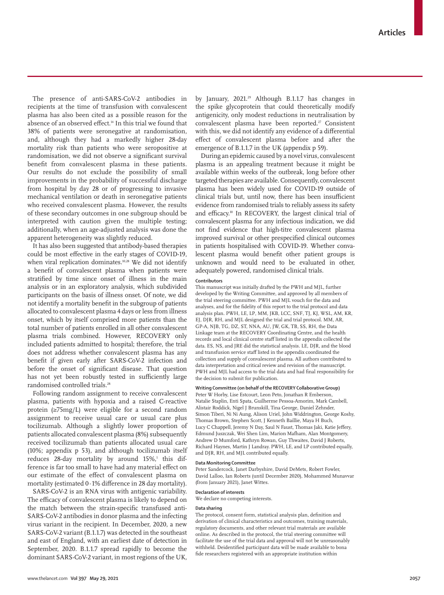The presence of anti-SARS-CoV-2 antibodies in recipients at the time of transfusion with convalescent plasma has also been cited as a possible reason for the absence of an observed effect.<sup>14</sup> In this trial we found that 38% of patients were seronegative at randomisation, and, although they had a markedly higher 28-day mortality risk than patients who were seropositive at randomisation, we did not observe a significant survival benefit from convalescent plasma in these patients. Our results do not exclude the possibility of small improvements in the probability of successful discharge from hospital by day 28 or of progressing to invasive mechanical ventilation or death in seronegative patients who received convalescent plasma. However, the results of these secondary outcomes in one subgroup should be interpreted with caution given the multiple testing; additionally, when an age-adjusted analysis was done the apparent heterogeneity was slightly reduced.

It has also been suggested that antibody-based therapies could be most effective in the early stages of COVID-19, when viral replication dominates.<sup>10,28</sup> We did not identify a benefit of convalescent plasma when patients were stratified by time since onset of illness in the main analysis or in an exploratory analysis, which subdivided participants on the basis of illness onset. Of note, we did not identify a mortality benefit in the subgroup of patients allocated to convalescent plasma 4 days or less from illness onset, which by itself comprised more patients than the total number of patients enrolled in all other convalescent plasma trials combined. However, RECOVERY only included patients admitted to hospital; therefore, the trial does not address whether convalescent plasma has any benefit if given early after SARS-CoV-2 infection and before the onset of significant disease. That question has not yet been robustly tested in sufficiently large randomised controlled trials.<sup>28</sup>

Following random assignment to receive convalescent plasma, patients with hypoxia and a raised C-reactive protein (≥75mg/L) were eligible for a second random assignment to receive usual care or usual care plus tocilizumab. Although a slightly lower proportion of patients allocated convalescent plasma (8%) subsequently received tocilizumab than patients allocated usual care (10%; appendix p 53), and although tocilizumab itself reduces 28-day mortality by around 15%,<del>'</del> this difference is far too small to have had any material effect on our estimate of the effect of convalescent plasma on mortality (estimated 0·1% difference in 28 day mortality).

SARS-CoV-2 is an RNA virus with antigenic variability. The efficacy of convalescent plasma is likely to depend on the match between the strain-specific transfused anti-SARS-CoV-2 antibodies in donor plasma and the infecting virus variant in the recipient. In December, 2020, a new SARS-CoV-2 variant (B.1.1.7) was detected in the southeast and east of England, with an earliest date of detection in September, 2020. B.1.1.7 spread rapidly to become the dominant SARS-CoV-2 variant, in most regions of the UK, by January, 2021.29 Although B.1.1.7 has changes in the spike glycoprotein that could theoretically modify antigenicity, only modest reductions in neutralisation by convalescent plasma have been reported.<sup>27</sup> Consistent with this, we did not identify any evidence of a differential effect of convalescent plasma before and after the emergence of B.1.1.7 in the UK (appendix p 59).

During an epidemic caused by a novel virus, convalescent plasma is an appealing treatment because it might be available within weeks of the outbreak, long before other targeted therapies are available. Consequently, convalescent plasma has been widely used for COVID-19 outside of clinical trials but, until now, there has been insufficient evidence from randomised trials to reliably assess its safety and efficacy.10 In RECOVERY, the largest clinical trial of convalescent plasma for any infectious indication, we did not find evidence that high-titre convalescent plasma improved survival or other prespecified clinical outcomes in patients hospitalised with COVID-19. Whether convalescent plasma would benefit other patient groups is unknown and would need to be evaluated in other, adequately powered, randomised clinical trials.

#### **Contributors**

This manuscript was initially drafted by the PWH and MJL, further developed by the Writing Committee, and approved by all members of the trial steering committee. PWH and MJL vouch for the data and analyses, and for the fidelity of this report to the trial protocol and data analysis plan. PWH, LE, LP, MM, JKB, LCC, SNF, TJ, KJ, WSL, AM, KR, EJ, DJR, RH, and MJL designed the trial and trial protocol. MM, AR, GP-A, NJB, TG, DZ, ST, NNA, AU, JW, GK, TB, SS, RH, the Data Linkage team at the RECOVERY Coordinating Centre, and the health records and local clinical centre staff listed in the appendix collected the data. ES, NS, and JRE did the statistical analysis. LE, DJR, and the blood and transfusion service staff listed in the appendix coordinated the collection and supply of convalescent plasma. All authors contributed to data interpretation and critical review and revision of the manuscript. PWH and MJL had access to the trial data and had final responsibility for the decision to submit for publication.

## **Writing Committee (on behalf of the RECOVERY Collaborative Group)**

Peter W Horby, Lise Estcourt, Leon Peto, Jonathan R Emberson, Natalie Staplin, Enti Spata, Guilherme Pessoa-Amorim, Mark Cambell, Alistair Roddick, Nigel J Brunskill, Tina George, Daniel Zehnder, Simon Tiberi, Ni Ni Aung, Alison Uriel, John Widdrington, George Koshy, Thomas Brown, Stephen Scott, J Kenneth Baillie, Maya H Buch, Lucy C Chappell, Jeremy N Day, Saul N Faust, Thomas Jaki, Katie Jeffery, Edmund Juszczak, Wei Shen Lim, Marion Mafham, Alan Montgomery, Andrew D Mumford, Kathryn Rowan, Guy Thwaites, David J Roberts, Richard Haynes, Martin J Landray. PWH, LE, and LP contributed equally, and DJR, RH, and MJL contributed equally.

#### **Data Monitoring Committee**

Peter Sandercock, Janet Darbyshire, David DeMets, Robert Fowler, David Lalloo, Ian Roberts (until December 2020), Mohammed Munavvar (from January 2021), Janet Wittes.

#### **Declaration of interests**

We declare no competing interests.

#### **Data sharing**

The protocol, consent form, statistical analysis plan, definition and derivation of clinical characteristics and outcomes, training materials, regulatory documents, and other relevant trial materials are available online. As described in the protocol, the trial steering committee will facilitate the use of the trial data and approval will not be unreasonably withheld. Deidentified participant data will be made available to bona fide researchers registered with an appropriate institution within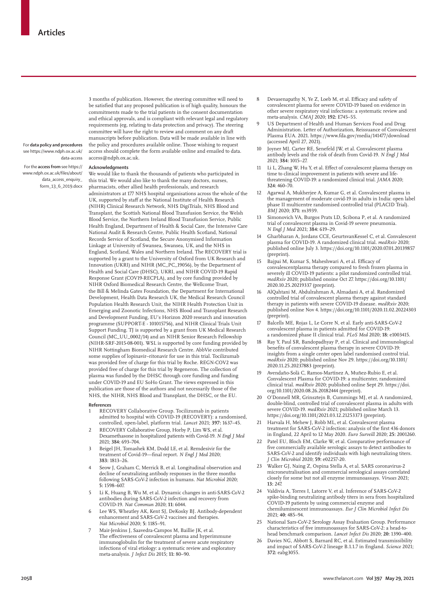For **data policy and procedures**  see [https://www.ndph.ox.ac.uk/](https://www.ndph.ox.ac.uk/data-access) [data-access](https://www.ndph.ox.ac.uk/data-access)

For the **access from** see [https://](https://www.ndph.ox.ac.uk/files/about/data_access_enquiry_form_13_6_2019.docx) [www.ndph.ox.ac.uk/files/about/](https://www.ndph.ox.ac.uk/files/about/data_access_enquiry_form_13_6_2019.docx) [data\\_access\\_enquiry\\_](https://www.ndph.ox.ac.uk/files/about/data_access_enquiry_form_13_6_2019.docx) [form\\_13\\_6\\_2019.docx](https://www.ndph.ox.ac.uk/files/about/data_access_enquiry_form_13_6_2019.docx) **Acknowledgments**

3 months of publication. However, the steering committee will need to be satisfied that any proposed publication is of high quality, honours the commitments made to the trial patients in the consent documentation and ethical approvals, and is compliant with relevant legal and regulatory requirements (eg, relating to data protection and privacy). The steering committee will have the right to review and comment on any draft manuscripts before publication. Data will be made available in line with the policy and procedures available [online](https://www.ndph.ox.ac.uk/data-access). Those wishing to request access should complete the form available [online](https://www.ndph.ox.ac.uk/files/about/data_access_enquiry_form_13_6_2019.docx) and emailed to data. access@ndph.ox.ac.uk.

We would like to thank the thousands of patients who participated in this trial. We would also like to thank the many doctors, nurses, pharmacists, other allied health professionals, and research administrators at 177 NHS hospital organisations across the whole of the UK, supported by staff at the National Institute of Health Research (NIHR) Clinical Research Network, NHS DigiTrials, NHS Blood and Transplant, the Scottish National Blood Transfusion Service, the Welsh Blood Service, the Northern Ireland Blood Transfusion Service, Public Health England, Department of Health & Social Care, the Intensive Care National Audit & Research Centre, Public Health Scotland, National Records Service of Scotland, the Secure Anonymised Information Linkage at University of Swansea, Swansea, UK, and the NHS in England, Scotland, Wales and Northern Ireland. The RECOVERY trial is supported by a grant to the University of Oxford from UK Research and Innovation (UKRI) and NIHR (MC\_PC\_19056), by the Department of Health and Social Care (DHSC), UKRI, and NIHR COVID-19 Rapid Response Grant (COV19-RECPLA), and by core funding provided by NIHR Oxford Biomedical Research Centre, the Wellcome Trust, the Bill & Melinda Gates Foundation, the Department for International Development, Health Data Research UK, the Medical Research Council Population Health Research Unit, the NIHR Health Protection Unit in Emerging and Zoonotic Infections, NHS Blood and Transplant Research and Development Funding, EU's Horizon 2020 research and innovation programme (SUPPORT-E - 101015756), and NIHR Clinical Trials Unit Support Funding. TJ is supported by a grant from UK Medical Research Council (MC\_UU\_0002/14) and an NIHR Senior Research Fellowship (NIHR-SRF-2015-08-001). WSL is supported by core funding provided by NIHR Nottingham Biomedical Research Centre. AbbVie contributed some supplies of lopinavir–ritonavir for use in this trial. Tocilizumab was provided free of charge for this trial by Roche. REGN-COV2 was provided free of charge for this trial by Regeneron. The collection of plasma was funded by the DHSC through core funding and funding under COVID-19 and EU SoHo Grant. The views expressed in this publication are those of the authors and not necessarily those of the NHS, the NIHR, NHS Blood and Transplant, the DHSC, or the EU.

#### **References**

- 1 RECOVERY Collaborative Group. Tocilizumab in patients admitted to hospital with COVID-19 (RECOVERY): a randomised, controlled, open-label, platform trial. *Lancet* 2021; **397:** 1637–45.
- 2 RECOVERY Collaborative Group, Horby P, Lim WS, et al. Dexamethasone in hospitalized patients with Covid-19. *N Engl J Med* 2021; **384:** 693–704.
- 3 Beigel JH, Tomashek KM, Dodd LE, et al. Remdesivir for the treatment of Covid-19—final report. *N Engl J Med* 2020; **383:** 1813–26.
- Seow J, Graham C, Merrick B, et al. Longitudinal observation and decline of neutralizing antibody responses in the three months following SARS-CoV-2 infection in humans. *Nat Microbiol* 2020; **5:** 1598–607.
- 5 Li K, Huang B, Wu M, et al. Dynamic changes in anti-SARS-CoV-2 antibodies during SARS-CoV-2 infection and recovery from COVID-19. *Nat Commun* 2020; **11:** 6044.
- 6 Lee WS, Wheatley AK, Kent SJ, DeKosky BJ. Antibody-dependent enhancement and SARS-CoV-2 vaccines and therapies. *Nat Microbiol* 2020; **5:** 1185–91.
- 7 Mair-Jenkins J, Saavedra-Campos M, Baillie JK, et al. The effectiveness of convalescent plasma and hyperimmune immunoglobulin for the treatment of severe acute respiratory infections of viral etiology: a systematic review and exploratory meta-analysis. *J Infect Dis* 2015; **11:** 80–90.
- 8 Devasenapathy N, Ye Z, Loeb M, et al. Efficacy and safety of convalescent plasma for severe COVID-19 based on evidence in other severe respiratory viral infections: a systematic review and meta-analysis. *CMAJ* 2020; **192:** E745–55.
- 9 US Department of Health and Human Services Food and Drug Administration. Letter of Authorization, Reissuance of Convalescent Plasma EUA. 2021. https://www.fda.gov/media/141477/download (accessed April 27, 2021).
- Joyner MJ, Carter RE, Senefeld JW, et al. Convalescent plasma antibody levels and the risk of death from Covid-19. *N Engl J Med*  2021; **384:** 1015–27.
- 11 Li L, Zhang W, Hu Y, et al. Effect of convalescent plasma therapy on time to clinical improvement in patients with severe and lifethreatening COVID-19: a randomized clinical trial. *JAMA* 2020; **324:** 460–70.
- 12 Agarwal A, Mukherjee A, Kumar G, et al. Convalescent plasma in the management of moderate covid-19 in adults in India: open label phase II multicentre randomised controlled trial (PLACID Trial). *BMJ* 2020; **371:** m3939.
- Simonovich VA, Burgos Pratx LD, Scibona P, et al. A randomized trial of convalescent plasma in Covid-19 severe pneumonia. *N Engl J Med* 2021; **384:** 619–29.
- 14 Gharbharan A, Jordans CCE, GeurtsvanKessel C, et al. Convalescent plasma for COVID-19. A randomized clinical trial. *medRxiv* 2020; published online July 3. https://doi.org/10.1101/2020.07.01.20139857 (preprint).
- 15 Bajpai M, Kumar S, Maheshwari A, et al. Efficacy of convalescentplasma therapy compared to fresh frozen plasma in severely ill COVID-19 patients: a pilot randomized controlled trial. *medRxiv* 2020; published onoine Oct 27. https://doi.org/10.1101/ 2020.10.25.20219337 (preprint).
- 16 AlQahtani M, Abdulrahman A, Almadani A, et al. Randomized controlled trial of convalescent plasma therapy against standard therapy in patients with severe COVID-19 disease. *medRxiv* 2020; published online Nov 4. https://doi.org/10.1101/2020.11.02.20224303 (preprint).
- 17 Balcells ME, Rojas L, Le Corre N, et al. Early anti-SARS-CoV-2 convalescent plasma in patients admitted for COVID-19: a randomized phase II clinical trial. *PLoS Med* 2020; **18:** e1003415.
- 18 Ray Y, Paul SR, Bandopadhyay P, et al. Clinical and immunological benefits of convalescent plasma therapy in severe COVID-19: insights from a single center open label randomised control trial. *medRxiv* 2020; published online Nov 29. https://doi.org/10.1101/ 2020.11.25.20237883 (preprint).
- 19 Avendaño-Solà C, Ramos-Martínez A, Muñez-Rubio E, et al. Convalescent Plasma for COVID-19: a multicenter, randomized clinical trial. *medRxiv* 2020; published online Sept 29. https://doi. org/10.1101/2020.08.26.20182444 (preprint).
- 20 O'Donnell MR, Grinsztejn B, Cummings MJ, et al. A randomized, double-blind, controlled trial of convalescent plasma in adults with severe COVID-19. *medRxiv* 2021; published online March 13. https://doi.org/10.1101/2021.03.12.21253373 (preprint).
- Harvala H, Mehew J, Robb ML, et al. Convalescent plasma treatment for SARS-CoV-2 infection: analysis of the first 436 donors in England, 22 April to 12 May 2020. *Euro Surveill* 2020; **25:** 2001260.
- 22 Patel EU, Bloch EM, Clarke W, et al. Comparative performance of five commercially available serologic assays to detect antibodies to SARS-CoV-2 and identify individuals with high neutralizing titers. *J Clin Microbiol* 2020; **59:** e02257-20.
- 23 Walker GJ, Naing Z, Ospina Stella A, et al. SARS coronavirus-2 microneutralisation and commercial serological assays correlated closely for some but not all enzyme immunoassays. *Viruses* 2021; **13:** 247.
- 24 Valdivia A, Torres I, Latorre V, et al. Inference of SARS-CoV-2 spike-binding neutralizing antibody titers in sera from hospitalized COVID-19 patients by using commercial enzyme and chemiluminescent immunoassays. *Eur J Clin Microbiol Infect Dis* 2021; **40:** 485–94.
- 25 National Sars-CoV-2 Serology Assay Evaluation Group. Performance characteristics of five immunoassays for SARS-CoV-2: a head-tohead benchmark comparison. *Lancet Infect Dis* 2020; **20:** 1390–400.
- 26 Davies NG, Abbott S, Barnard RC, et al. Estimated transmissibility and impact of SARS-CoV-2 lineage B.1.1.7 in England. *Science* 2021; **372:** eabg3055.